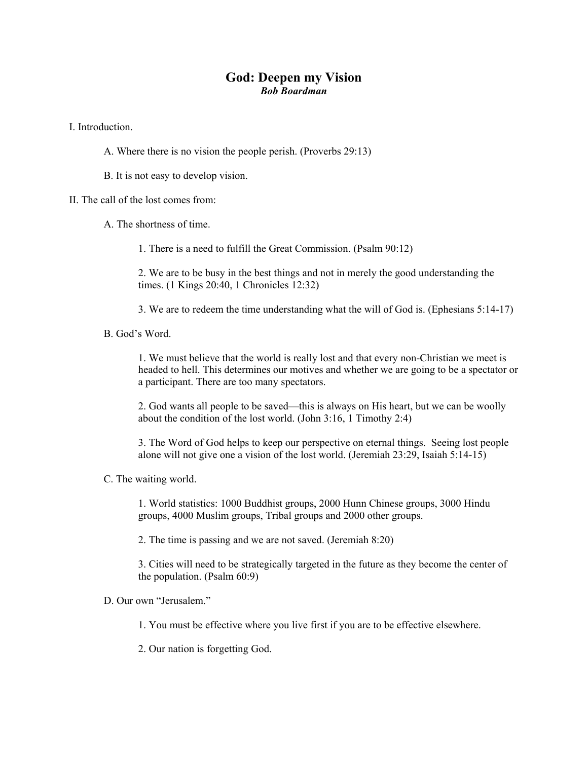## **God: Deepen my Vision**  *Bob Boardman*

I. Introduction.

- A. Where there is no vision the people perish. (Proverbs 29:13)
- B. It is not easy to develop vision.
- II. The call of the lost comes from:
	- A. The shortness of time.

1. There is a need to fulfill the Great Commission. (Psalm 90:12)

2. We are to be busy in the best things and not in merely the good understanding the times. (1 Kings 20:40, 1 Chronicles 12:32)

3. We are to redeem the time understanding what the will of God is. (Ephesians 5:14-17)

B. God's Word.

1. We must believe that the world is really lost and that every non-Christian we meet is headed to hell. This determines our motives and whether we are going to be a spectator or a participant. There are too many spectators.

2. God wants all people to be saved—this is always on His heart, but we can be woolly about the condition of the lost world. (John 3:16, 1 Timothy 2:4)

3. The Word of God helps to keep our perspective on eternal things. Seeing lost people alone will not give one a vision of the lost world. (Jeremiah 23:29, Isaiah 5:14-15)

C. The waiting world.

1. World statistics: 1000 Buddhist groups, 2000 Hunn Chinese groups, 3000 Hindu groups, 4000 Muslim groups, Tribal groups and 2000 other groups.

2. The time is passing and we are not saved. (Jeremiah 8:20)

3. Cities will need to be strategically targeted in the future as they become the center of the population. (Psalm 60:9)

D. Our own "Jerusalem."

1. You must be effective where you live first if you are to be effective elsewhere.

2. Our nation is forgetting God.